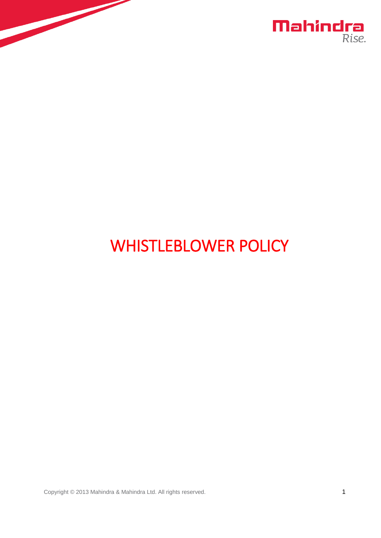



# WHISTLEBLOWER POLICY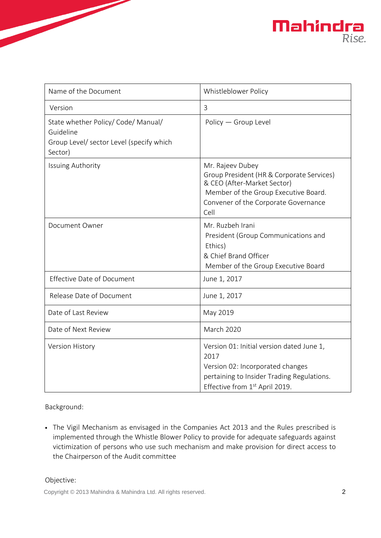

| Name of the Document                                                                                    | Whistleblower Policy                                                                                                                                                                 |
|---------------------------------------------------------------------------------------------------------|--------------------------------------------------------------------------------------------------------------------------------------------------------------------------------------|
| Version                                                                                                 | 3                                                                                                                                                                                    |
| State whether Policy/ Code/ Manual/<br>Guideline<br>Group Level/ sector Level (specify which<br>Sector) | Policy - Group Level                                                                                                                                                                 |
| <b>Issuing Authority</b>                                                                                | Mr. Rajeev Dubey<br>Group President (HR & Corporate Services)<br>& CEO (After-Market Sector)<br>Member of the Group Executive Board.<br>Convener of the Corporate Governance<br>Cell |
| Document Owner                                                                                          | Mr. Ruzbeh Irani<br>President (Group Communications and<br>Ethics)<br>& Chief Brand Officer<br>Member of the Group Executive Board                                                   |
| <b>Effective Date of Document</b>                                                                       | June 1, 2017                                                                                                                                                                         |
| Release Date of Document                                                                                | June 1, 2017                                                                                                                                                                         |
| Date of Last Review                                                                                     | May 2019                                                                                                                                                                             |
| Date of Next Review                                                                                     | <b>March 2020</b>                                                                                                                                                                    |
| Version History                                                                                         | Version 01: Initial version dated June 1,<br>2017<br>Version 02: Incorporated changes<br>pertaining to Insider Trading Regulations.<br>Effective from 1 <sup>st</sup> April 2019.    |

# Background:

• The Vigil Mechanism as envisaged in the Companies Act 2013 and the Rules prescribed is implemented through the Whistle Blower Policy to provide for adequate safeguards against victimization of persons who use such mechanism and make provision for direct access to the Chairperson of the Audit committee

# Objective: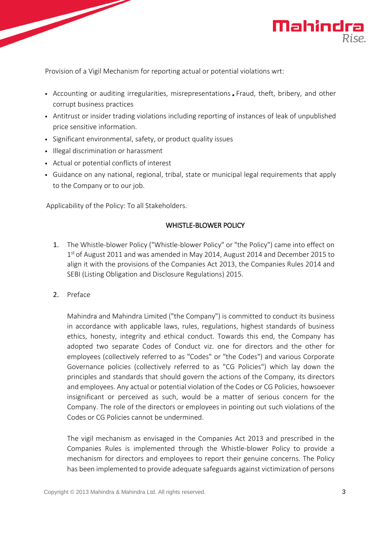

Provision of a Vigil Mechanism for reporting actual or potential violations wrt:

- Accounting or auditing irregularities, misrepresentations . Fraud, theft, bribery, and other corrupt business practices
- Antitrust or insider trading violations including reporting of instances of leak of unpublished price sensitive information.
- Significant environmental, safety, or product quality issues
- Illegal discrimination or harassment
- Actual or potential conflicts of interest
- Guidance on any national, regional, tribal, state or municipal legal requirements that apply to the Company or to our job.

Applicability of the Policy: To all Stakeholders.

# WHISTLE-BLOWER POLICY

- 1. The Whistle-blower Policy ("Whistle-blower Policy" or "the Policy") came into effect on 1<sup>st</sup> of August 2011 and was amended in May 2014, August 2014 and December 2015 to align it with the provisions of the Companies Act 2013, the Companies Rules 2014 and SEBI (Listing Obligation and Disclosure Regulations) 2015.
- 2. Preface

Mahindra and Mahindra Limited ("the Company") is committed to conduct its business in accordance with applicable laws, rules, regulations, highest standards of business ethics, honesty, integrity and ethical conduct. Towards this end, the Company has adopted two separate Codes of Conduct viz. one for directors and the other for employees (collectively referred to as "Codes" or "the Codes") and various Corporate Governance policies (collectively referred to as "CG Policies") which lay down the principles and standards that should govern the actions of the Company, its directors and employees. Any actual or potential violation of the Codes or CG Policies, howsoever insignificant or perceived as such, would be a matter of serious concern for the Company. The role of the directors or employees in pointing out such violations of the Codes or CG Policies cannot be undermined.

The vigil mechanism as envisaged in the Companies Act 2013 and prescribed in the Companies Rules is implemented through the Whistle-blower Policy to provide a mechanism for directors and employees to report their genuine concerns. The Policy has been implemented to provide adequate safeguards against victimization of persons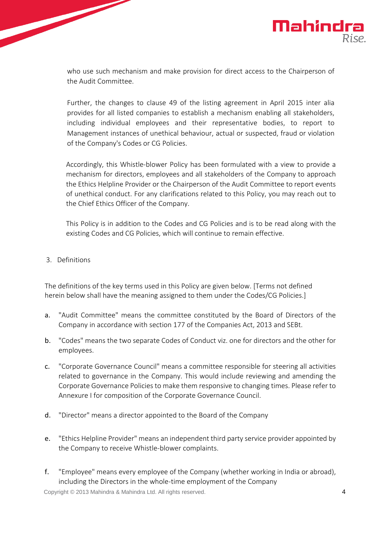

who use such mechanism and make provision for direct access to the Chairperson of the Audit Committee.

Further, the changes to clause 49 of the listing agreement in April 2015 inter alia provides for all listed companies to establish a mechanism enabling all stakeholders, including individual employees and their representative bodies, to report to Management instances of unethical behaviour, actual or suspected, fraud or violation of the Company's Codes or CG Policies.

Accordingly, this Whistle-blower Policy has been formulated with a view to provide a mechanism for directors, employees and all stakeholders of the Company to approach the Ethics Helpline Provider or the Chairperson of the Audit Committee to report events of unethical conduct. For any clarifications related to this Policy, you may reach out to the Chief Ethics Officer of the Company.

This Policy is in addition to the Codes and CG Policies and is to be read along with the existing Codes and CG Policies, which will continue to remain effective.

#### 3. Definitions

The definitions of the key terms used in this Policy are given below. [Terms not defined herein below shall have the meaning assigned to them under the Codes/CG Policies.]

- a. "Audit Committee" means the committee constituted by the Board of Directors of the Company in accordance with section 177 of the Companies Act, 2013 and SEBt.
- b. "Codes" means the two separate Codes of Conduct viz. one for directors and the other for employees.
- c. "Corporate Governance Council" means a committee responsible for steering all activities related to governance in the Company. This would include reviewing and amending the Corporate Governance Policies to make them responsive to changing times. Please refer to Annexure I for composition of the Corporate Governance Council.
- d. "Director" means a director appointed to the Board of the Company
- e. "Ethics Helpline Provider" means an independent third party service provider appointed by the Company to receive Whistle-blower complaints.
- f. "Employee" means every employee of the Company (whether working in India or abroad), including the Directors in the whole-time employment of the Company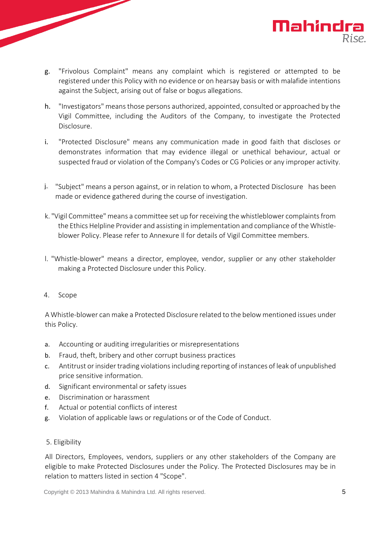

- h. "Investigators" means those persons authorized, appointed, consulted or approached by the Vigil Committee, including the Auditors of the Company, to investigate the Protected Disclosure.
- i. "Protected Disclosure" means any communication made in good faith that discloses or demonstrates information that may evidence illegal or unethical behaviour, actual or suspected fraud or violation of the Company's Codes or CG Policies or any improper activity.
- 1. "Subject" means a person against, or in relation to whom, a Protected Disclosure has been made or evidence gathered during the course of investigation.
- k. "Vigil Committee" means a committee set up for receiving the whistleblower complaints from the Ethics Helpline Provider and assisting in implementation and compliance of the Whistleblower Policy. Please refer to Annexure Il for details of Vigil Committee members.
- l. "Whistle-blower" means a director, employee, vendor, supplier or any other stakeholder making a Protected Disclosure under this Policy.
- 4. Scope

A Whistle-blower can make a Protected Disclosure related to the below mentioned issues under this Policy.

- a. Accounting or auditing irregularities or misrepresentations
- b. Fraud, theft, bribery and other corrupt business practices
- c. Antitrust or insider trading violations including reporting of instances of leak of unpublished price sensitive information.
- d. Significant environmental or safety issues
- e. Discrimination or harassment
- f. Actual or potential conflicts of interest
- g. Violation of applicable laws or regulations or of the Code of Conduct.
- 5. Eligibility

All Directors, Employees, vendors, suppliers or any other stakeholders of the Company are eligible to make Protected Disclosures under the Policy. The Protected Disclosures may be in relation to matters listed in section 4 "Scope".

Mahindra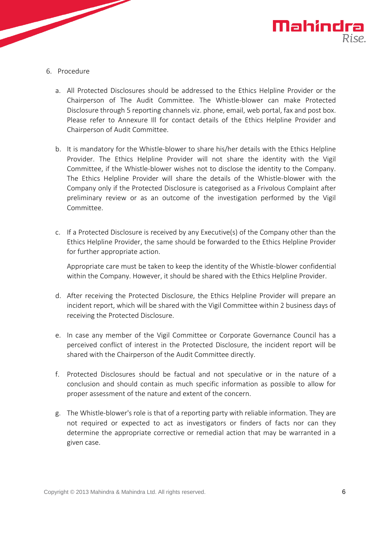

- 6. Procedure
	- a. All Protected Disclosures should be addressed to the Ethics Helpline Provider or the Chairperson of The Audit Committee. The Whistle-blower can make Protected Disclosure through 5 reporting channels viz. phone, email, web portal, fax and post box. Please refer to Annexure Ill for contact details of the Ethics Helpline Provider and Chairperson of Audit Committee.
	- b. It is mandatory for the Whistle-blower to share his/her details with the Ethics Helpline Provider. The Ethics Helpline Provider will not share the identity with the Vigil Committee, if the Whistle-blower wishes not to disclose the identity to the Company. The Ethics Helpline Provider will share the details of the Whistle-blower with the Company only if the Protected Disclosure is categorised as a Frivolous Complaint after preliminary review or as an outcome of the investigation performed by the Vigil Committee.
	- c. If a Protected Disclosure is received by any Executive(s) of the Company other than the Ethics Helpline Provider, the same should be forwarded to the Ethics Helpline Provider for further appropriate action.

Appropriate care must be taken to keep the identity of the Whistle-blower confidential within the Company. However, it should be shared with the Ethics Helpline Provider.

- d. After receiving the Protected Disclosure, the Ethics Helpline Provider will prepare an incident report, which will be shared with the Vigil Committee within 2 business days of receiving the Protected Disclosure.
- e. In case any member of the Vigil Committee or Corporate Governance Council has a perceived conflict of interest in the Protected Disclosure, the incident report will be shared with the Chairperson of the Audit Committee directly.
- f. Protected Disclosures should be factual and not speculative or in the nature of a conclusion and should contain as much specific information as possible to allow for proper assessment of the nature and extent of the concern.
- g. The Whistle-blower's role is that of a reporting party with reliable information. They are not required or expected to act as investigators or finders of facts nor can they determine the appropriate corrective or remedial action that may be warranted in a given case.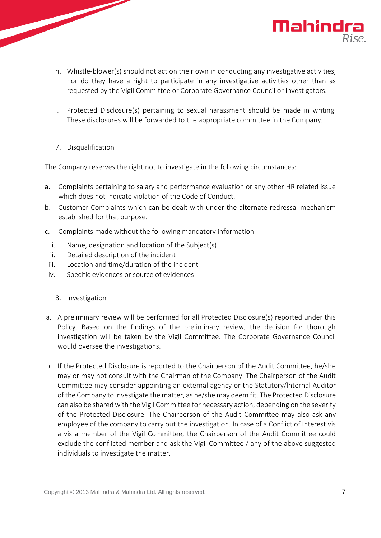- h. Whistle-blower(s) should not act on their own in conducting any investigative activities, nor do they have a right to participate in any investigative activities other than as requested by the Vigil Committee or Corporate Governance Council or Investigators.
- i. Protected Disclosure(s) pertaining to sexual harassment should be made in writing. These disclosures will be forwarded to the appropriate committee in the Company.
- 7. Disqualification

The Company reserves the right not to investigate in the following circumstances:

- a. Complaints pertaining to salary and performance evaluation or any other HR related issue which does not indicate violation of the Code of Conduct.
- b. Customer Complaints which can be dealt with under the alternate redressal mechanism established for that purpose.
- c. Complaints made without the following mandatory information.
	- i. Name, designation and location of the Subject(s)
	- ii. Detailed description of the incident
- iii. Location and time/duration of the incident
- iv. Specific evidences or source of evidences
	- 8. Investigation
- a. A preliminary review will be performed for all Protected Disclosure(s) reported under this Policy. Based on the findings of the preliminary review, the decision for thorough investigation will be taken by the Vigil Committee. The Corporate Governance Council would oversee the investigations.
- b. If the Protected Disclosure is reported to the Chairperson of the Audit Committee, he/she may or may not consult with the Chairman of the Company. The Chairperson of the Audit Committee may consider appointing an external agency or the Statutory/lnternal Auditor of the Company to investigate the matter, as he/she may deem fit. The Protected Disclosure can also be shared with the Vigil Committee for necessary action, depending on the severity of the Protected Disclosure. The Chairperson of the Audit Committee may also ask any employee of the company to carry out the investigation. In case of a Conflict of Interest vis a vis a member of the Vigil Committee, the Chairperson of the Audit Committee could exclude the conflicted member and ask the Vigil Committee / any of the above suggested individuals to investigate the matter.

**Mahindra**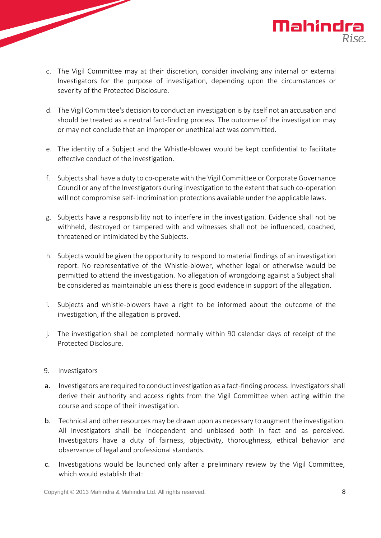- c. The Vigil Committee may at their discretion, consider involving any internal or external Investigators for the purpose of investigation, depending upon the circumstances or severity of the Protected Disclosure.
- d. The Vigil Committee's decision to conduct an investigation is by itself not an accusation and should be treated as a neutral fact-finding process. The outcome of the investigation may or may not conclude that an improper or unethical act was committed.
- e. The identity of a Subject and the Whistle-blower would be kept confidential to facilitate effective conduct of the investigation.
- f. Subjects shall have a duty to co-operate with the Vigil Committee or Corporate Governance Council or any of the Investigators during investigation to the extent that such co-operation will not compromise self- incrimination protections available under the applicable laws.
- g. Subjects have a responsibility not to interfere in the investigation. Evidence shall not be withheld, destroyed or tampered with and witnesses shall not be influenced, coached, threatened or intimidated by the Subjects.
- h. Subjects would be given the opportunity to respond to material findings of an investigation report. No representative of the Whistle-blower, whether legal or otherwise would be permitted to attend the investigation. No allegation of wrongdoing against a Subject shall be considered as maintainable unless there is good evidence in support of the allegation.
- i. Subjects and whistle-blowers have a right to be informed about the outcome of the investigation, if the allegation is proved.
- j. The investigation shall be completed normally within 90 calendar days of receipt of the Protected Disclosure.
- 9. Investigators
- a. Investigators are required to conduct investigation as a fact-finding process. Investigators shall derive their authority and access rights from the Vigil Committee when acting within the course and scope of their investigation.
- b. Technical and other resources may be drawn upon as necessary to augment the investigation. All Investigators shall be independent and unbiased both in fact and as perceived. Investigators have a duty of fairness, objectivity, thoroughness, ethical behavior and observance of legal and professional standards.
- c. Investigations would be launched only after a preliminary review by the Vigil Committee, which would establish that:

**Mahindra**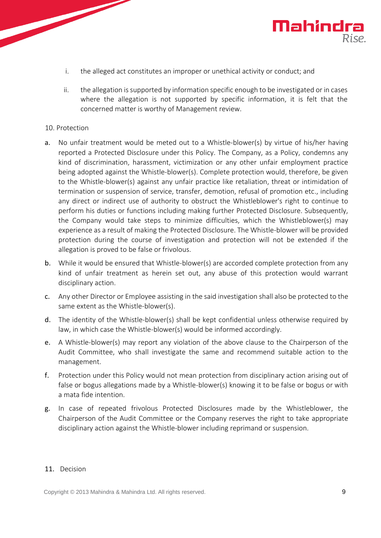

- i. the alleged act constitutes an improper or unethical activity or conduct; and
- ii. the allegation is supported by information specific enough to be investigated or in cases where the allegation is not supported by specific information, it is felt that the concerned matter is worthy of Management review.

#### 10. Protection

- a. No unfair treatment would be meted out to a Whistle-blower(s) by virtue of his/her having reported a Protected Disclosure under this Policy. The Company, as a Policy, condemns any kind of discrimination, harassment, victimization or any other unfair employment practice being adopted against the Whistle-blower(s). Complete protection would, therefore, be given to the Whistle-blower(s) against any unfair practice like retaliation, threat or intimidation of termination or suspension of service, transfer, demotion, refusal of promotion etc., including any direct or indirect use of authority to obstruct the Whistleblower's right to continue to perform his duties or functions including making further Protected Disclosure. Subsequently, the Company would take steps to minimize difficulties, which the Whistleblower(s) may experience as a result of making the Protected Disclosure. The Whistle-blower will be provided protection during the course of investigation and protection will not be extended if the allegation is proved to be false or frivolous.
- b. While it would be ensured that Whistle-blower(s) are accorded complete protection from any kind of unfair treatment as herein set out, any abuse of this protection would warrant disciplinary action.
- c. Any other Director or Employee assisting in the said investigation shall also be protected to the same extent as the Whistle-blower(s).
- d. The identity of the Whistle-blower(s) shall be kept confidential unless otherwise required by law, in which case the Whistle-blower(s) would be informed accordingly.
- e. A Whistle-blower(s) may report any violation of the above clause to the Chairperson of the Audit Committee, who shall investigate the same and recommend suitable action to the management.
- f. Protection under this Policy would not mean protection from disciplinary action arising out of false or bogus allegations made by a Whistle-blower(s) knowing it to be false or bogus or with a mata fide intention.
- g. In case of repeated frivolous Protected Disclosures made by the Whistleblower, the Chairperson of the Audit Committee or the Company reserves the right to take appropriate disciplinary action against the Whistle-blower including reprimand or suspension.

#### 11. Decision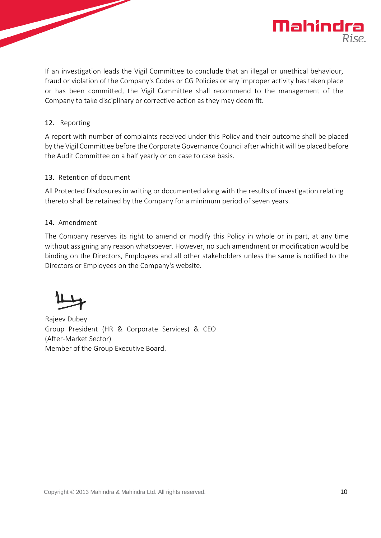

If an investigation leads the Vigil Committee to conclude that an illegal or unethical behaviour, fraud or violation of the Company's Codes or CG Policies or any improper activity has taken place or has been committed, the Vigil Committee shall recommend to the management of the Company to take disciplinary or corrective action as they may deem fit.

#### 12. Reporting

A report with number of complaints received under this Policy and their outcome shall be placed by the Vigil Committee before the Corporate Governance Council after which it will be placed before the Audit Committee on a half yearly or on case to case basis.

#### 13. Retention of document

All Protected Disclosures in writing or documented along with the results of investigation relating thereto shall be retained by the Company for a minimum period of seven years.

# 14. Amendment

The Company reserves its right to amend or modify this Policy in whole or in part, at any time without assigning any reason whatsoever. However, no such amendment or modification would be binding on the Directors, Employees and all other stakeholders unless the same is notified to the Directors or Employees on the Company's website.

Rajeev Dubey Group President (HR & Corporate Services) & CEO (After-Market Sector) Member of the Group Executive Board.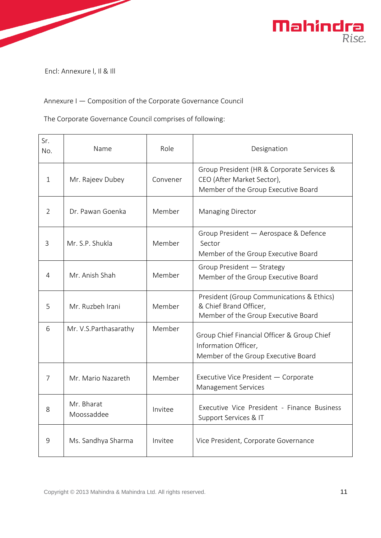

Encl: Annexure l, Il & Ill

# Annexure I — Composition of the Corporate Governance Council

The Corporate Governance Council comprises of following:

| Sr.<br>No.    | Name                     | Role     | Designation                                                                                                     |  |
|---------------|--------------------------|----------|-----------------------------------------------------------------------------------------------------------------|--|
| $\mathbf{1}$  | Mr. Rajeev Dubey         | Convener | Group President (HR & Corporate Services &<br>CEO (After Market Sector),<br>Member of the Group Executive Board |  |
| $\mathcal{P}$ | Dr. Pawan Goenka         | Member   | <b>Managing Director</b>                                                                                        |  |
| 3             | Mr. S.P. Shukla          | Member   | Group President - Aerospace & Defence<br>Sector<br>Member of the Group Executive Board                          |  |
| 4             | Mr. Anish Shah           | Member   | Group President - Strategy<br>Member of the Group Executive Board                                               |  |
| 5             | Mr. Ruzbeh Irani         | Member   | President (Group Communications & Ethics)<br>& Chief Brand Officer,<br>Member of the Group Executive Board      |  |
| 6             | Mr. V.S.Parthasarathy    | Member   | Group Chief Financial Officer & Group Chief<br>Information Officer,<br>Member of the Group Executive Board      |  |
| 7             | Mr. Mario Nazareth       | Member   | Executive Vice President - Corporate<br><b>Management Services</b>                                              |  |
| 8             | Mr. Bharat<br>Moossaddee | Invitee  | Executive Vice President - Finance Business<br>Support Services & IT                                            |  |
| 9             | Ms. Sandhya Sharma       | Invitee  | Vice President, Corporate Governance                                                                            |  |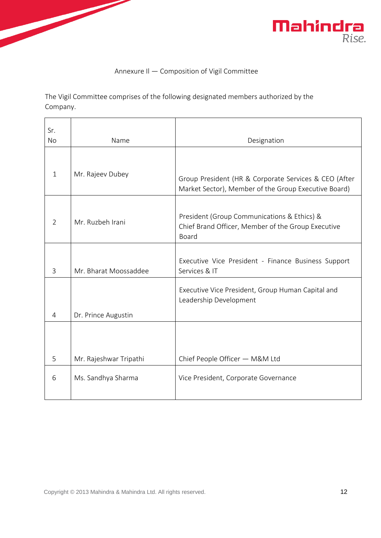



# Annexure Il — Composition of Vigil Committee

The Vigil Committee comprises of the following designated members authorized by the Company.

| Sr.            |                        |                                                                                                               |
|----------------|------------------------|---------------------------------------------------------------------------------------------------------------|
| <b>No</b>      | Name                   | Designation                                                                                                   |
| $\mathbf{1}$   | Mr. Rajeev Dubey       | Group President (HR & Corporate Services & CEO (After<br>Market Sector), Member of the Group Executive Board) |
| $\overline{2}$ | Mr. Ruzbeh Irani       | President (Group Communications & Ethics) &<br>Chief Brand Officer, Member of the Group Executive<br>Board    |
| 3              | Mr. Bharat Moossaddee  | Executive Vice President - Finance Business Support<br>Services & IT                                          |
| 4              | Dr. Prince Augustin    | Executive Vice President, Group Human Capital and<br>Leadership Development                                   |
| 5              | Mr. Rajeshwar Tripathi | Chief People Officer - M&M Ltd                                                                                |
| 6              | Ms. Sandhya Sharma     | Vice President, Corporate Governance                                                                          |